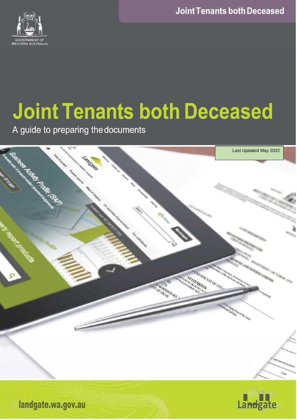**Joint Tenants both Deceased** 



# **Joint Tenants both Deceased**

A guide to preparing the documents





**andgate.wa.gov.au** *Landgate*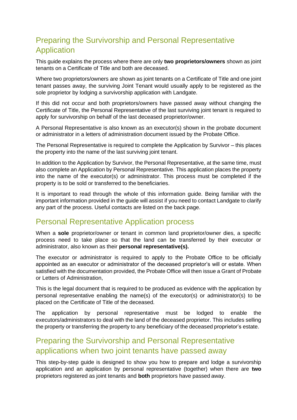## Preparing the Survivorship and Personal Representative Application

This guide explains the process where there are only **two proprietors/owners** shown as joint tenants on a Certificate of Title and both are deceased.

Where two proprietors/owners are shown as joint tenants on a Certificate of Title and one joint tenant passes away, the surviving Joint Tenant would usually apply to be registered as the sole proprietor by lodging a survivorship application with Landgate.

If this did not occur and both proprietors/owners have passed away without changing the Certificate of Title, the Personal Representative of the last surviving joint tenant is required to apply for survivorship on behalf of the last deceased proprietor/owner.

A Personal Representative is also known as an executor(s) shown in the probate document or administrator in a letters of administration document issued by the Probate Office.

The Personal Representative is required to complete the Application by Survivor – this places the property into the name of the last surviving joint tenant.

In addition to the Application by Survivor, the Personal Representative, at the same time, must also complete an Application by Personal Representative. This application places the property into the name of the executor(s) or administrator. This process must be completed if the property is to be sold or transferred to the beneficiaries.

It is important to read through the whole of this information guide. Being familiar with the important information provided in the guide will assist if you need to contact Landgate to clarify any part of the process. Useful contacts are listed on the back page.

### Personal Representative Application process

When a **sole** proprietor/owner or tenant in common land proprietor/owner dies, a specific process need to take place so that the land can be transferred by their executor or administrator, also known as their **personal representative(s).**

The executor or administrator is required to apply to the Probate Office to be officially appointed as an executor or administrator of the deceased proprietor's will or estate. When satisfied with the documentation provided, the Probate Office will then issue a Grant of Probate or Letters of Administration,

This is the legal document that is required to be produced as evidence with the application by personal representative enabling the name(s) of the executor(s) or administrator(s) to be placed on the Certificate of Title of the deceased.

The application by personal representative must be lodged to enable the executors/administrators to deal with the land of the deceased proprietor. This includes selling the property or transferring the property to any beneficiary of the deceased proprietor's estate.

## Preparing the Survivorship and Personal Representative applications when two joint tenants have passed away

This step-by-step guide is designed to show you how to prepare and lodge a survivorship application and an application by personal representative (together) when there are **two** proprietors registered as joint tenants and **both** proprietors have passed away.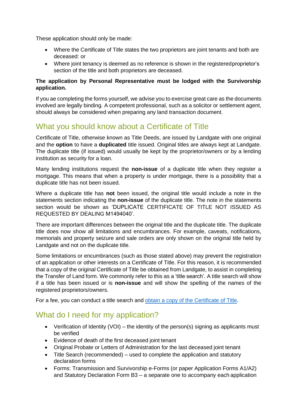These application should only be made:

- Where the Certificate of Title states the two proprietors are joint tenants and both are deceased: or
- Where joint tenancy is deemed as no reference is shown in the registeredproprietor's section of the title and both proprietors are deceased.

#### **The application by Personal Representative must be lodged with the Survivorship application.**

If you ae completing the forms yourself, we advise you to exercise great care as the documents involved are legally binding. A competent professional, such as a solicitor or settlement agent, should always be considered when preparing any land transaction document.

## What you should know about a Certificate of Title

Certificate of Title, otherwise known as Title Deeds, are issued by Landgate with one original and the **option** to have a **duplicated** title issued. Original titles are always kept at Landgate. The duplicate title (if issued) would usually be kept by the proprietor/owners or by a lending institution as security for a loan.

Many lending institutions request the **non-issue** of a duplicate title when they register a mortgage. This means that when a property is under mortgage, there is a possibility that a duplicate title has not been issued.

Where a duplicate title has **not** been issued, the original title would include a note in the statements section indicating the **non-issue** of the duplicate title. The note in the statements section would be shown as 'DUPLICATE CERTIFICATE OF TITLE NOT ISSUED AS REQUESTED BY DEALING M1494040'.

There are important differences between the original title and the duplicate title. The duplicate title does now show all limitations and encumbrances. For example, caveats, notifications, memorials and property seizure and sale orders are only shown on the original title held by Landgate and not on the duplicate title.

Some limitations or encumbrances (such as those stated above) may prevent the registration of an application or other interests on a Certificate of Title. For this reason, it is recommended that a copy of the original Certificate of Title be obtained from Landgate, to assist in completing the Transfer of Land form. We commonly refer to this as a 'title search'. A title search will show if a title has been issued or is **non-issue** and will show the spelling of the names of the registered proprietors/owners.

For a fee, you can conduct a title search and obtain a copy of [the Certificate](http://www0.landgate.wa.gov.au/titles-and-surveys/certificate-of-title) of Title.

## What do I need for my application?

- Verification of Identity (VOI) the identity of the person(s) signing as applicants must be verified
- Evidence of death of the first deceased joint tenant
- Original Probate or Letters of Administration for the last deceased joint tenant
- Title Search (recommended) used to complete the application and statutory declaration forms
- Forms: Transmission and Survivorship e-Forms (or paper Application Forms A1/A2) and Statutory Declaration Form B3 – a separate one to accompany each application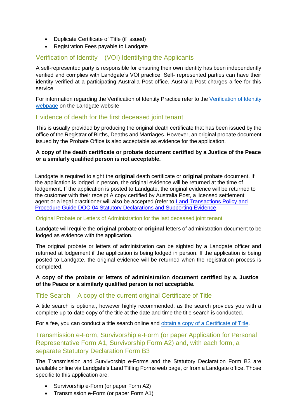- Duplicate Certificate of Title (if issued)
- Registration Fees payable to Landgate

#### Verification of Identity – (VOI) Identifying the Applicants

A self-represented party is responsible for ensuring their own identity has been independently verified and complies with Landgate's VOI practice. Self- represented parties can have their identity verified at a participating Australia Post office. Australia Post charges a fee for this service.

For information regarding the Verification of Identity Practice refer to the [Verification](https://www0.landgate.wa.gov.au/for-individuals/property-ownership/fraud-protection/verification-of-identity) of Identity [webpage](https://www0.landgate.wa.gov.au/for-individuals/property-ownership/fraud-protection/verification-of-identity) on the Landgate website.

#### Evidence of death for the first deceased joint tenant

This is usually provided by producing the original death certificate that has been issued by the office of the Registrar of Births, Deaths and Marriages. However, an original probate document issued by the Probate Office is also acceptable as evidence for the application.

#### **A copy of the death certificate or probate document certified by a Justice of the Peace or a similarly qualified person is not acceptable.**

Landgate is required to sight the **original** death certificate or **original** probate document. If the application is lodged in person, the original evidence will be returned at the time of lodgement. If the application is posted to Landgate, the original evidence will be returned to the customer with their receipt A copy certified by Australia Post, a licensed settlement agent or a legal practitioner will also be accepted (refer to [Land Transactions Policy and](https://www0.landgate.wa.gov.au/for-individuals/Land-Transactions-toolkit/land-titles-registration-policy-and-procedure-guides/#DOC-04) Procedure Guide DOC-04 Statutory Declarations [and Supporting](https://www0.landgate.wa.gov.au/for-individuals/Land-Transactions-toolkit/land-titles-registration-policy-and-procedure-guides/#DOC-04) Evidence.

#### Original Probate or Letters of Administration for the last deceased joint tenant

Landgate will require the **original** probate or **original** letters of administration document to be lodged as evidence with the application.

The original probate or letters of administration can be sighted by a Landgate officer and returned at lodgement if the application is being lodged in person. If the application is being posted to Landgate, the original evidence will be returned when the registration process is completed.

#### **A copy of the probate or letters of administration document certified by a, Justice of the Peace or a similarly qualified person is not acceptable.**

#### Title Search – A copy of the current original Certificate of Title

A title search is optional, however highly recommended, as the search provides you with a complete up-to-date copy of the title at the date and time the title search is conducted.

For a fee, you can conduct a title search online and obtain a copy of a [Certificate of Title.](http://www0.landgate.wa.gov.au/titles-and-surveys/certificate-of-title)

Transmission e-Form, Survivorship e-Form (or paper Application for Personal Representative Form A1, Survivorship Form A2) and, with each form, a separate Statutory Declaration Form B3

The Transmission and Survivorship e-Forms and the Statutory Declaration Form B3 are available online via Landgate's Land Titling Forms web page, or from a Landgate office. Those specific to this application are:

- Survivorship e-Form (or paper Form A2)
- Transmission e-Form (or paper Form A1)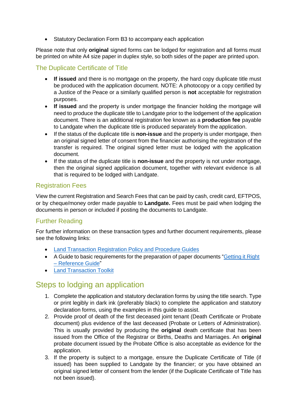• Statutory Declaration Form B3 to accompany each application

Please note that only **original** signed forms can be lodged for registration and all forms must be printed on white A4 size paper in duplex style, so both sides of the paper are printed upon.

#### The Duplicate Certificate of Title

- **If issued** and there is no mortgage on the property, the hard copy duplicate title must be produced with the application document. NOTE: A photocopy or a copy certified by a Justice of the Peace or a similarly qualified person is **not** acceptable for registration purposes.
- **If issued** and the property is under mortgage the financier holding the mortgage will need to produce the duplicate title to Landgate prior to the lodgement of the application document. There is an additional registration fee known as a **production fee** payable to Landgate when the duplicate title is produced separately from the application.
- If the status of the duplicate title is **non-issue** and the property is under mortgage, then an original signed letter of consent from the financier authorising the registration of the transfer is required. The original signed letter must be lodged with the application document.
- If the status of the duplicate title is **non-issue** and the property is not under mortgage, then the original signed application document, together with relevant evidence is all that is required to be lodged with Landgate.

#### Registration Fees

View the current Registration and Search Fees that can be paid by cash, credit card, EFTPOS, or by cheque/money order made payable to **Landgate.** Fees must be paid when lodging the documents in person or included if posting the documents to Landgate.

#### Further Reading

For further information on these transaction types and further document requirements, please see the following links:

- Land Transaction [Registration](https://www0.landgate.wa.gov.au/business-and-government/Land-Transactions-toolkit/land-titles-registration-policy-and-procedure-guides) Policy and Procedure Guides
- A Guide to basic requirements for the preparation of paper documents ["Getting](https://www0.landgate.wa.gov.au/docvault.nsf/web/PS_STPM/%24file/How-to-Guide-Getting-it-Right-V3-Jun-2020.pdf) it Right [–](https://www0.landgate.wa.gov.au/docvault.nsf/web/PS_STPM/%24file/How-to-Guide-Getting-it-Right-V3-Jun-2020.pdf) [Reference](https://www0.landgate.wa.gov.au/docvault.nsf/web/PS_STPM/%24file/How-to-Guide-Getting-it-Right-V3-Jun-2020.pdf) Guide"
- Land [Transaction](https://www0.landgate.wa.gov.au/business-and-government/Land-Transactions-toolkit/land-titles-registration-policy-and-procedure-guides) Toolkit

## Steps to lodging an application

- 1. Complete the application and statutory declaration forms by using the title search. Type or print legibly in dark ink (preferably black) to complete the application and statutory declaration forms, using the examples in this guide to assist.
- 2. Provide proof of death of the first deceased joint tenant (Death Certificate or Probate document) plus evidence of the last deceased (Probate or Letters of Administration). This is usually provided by producing the **original** death certificate that has been issued from the Office of the Registrar or Births, Deaths and Marriages. An **original** probate document issued by the Probate Office is also acceptable as evidence for the application.
- 3. If the property is subject to a mortgage, ensure the Duplicate Certificate of Title (if issued) has been supplied to Landgate by the financier; or you have obtained an original signed letter of consent from the lender (if the Duplicate Certificate of Title has not been issued).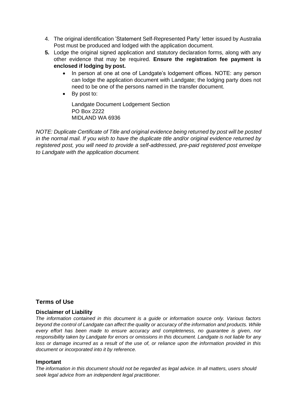- 4. The original identification 'Statement Self-Represented Party' letter issued by Australia Post must be produced and lodged with the application document.
- **5.** Lodge the original signed application and statutory declaration forms, along with any other evidence that may be required. **Ensure the registration fee payment is enclosed if lodging by post.**
	- In person at one at one of Landgate's lodgement offices. NOTE: any person can lodge the application document with Landgate; the lodging party does not need to be one of the persons named in the transfer document.
	- By post to:

Landgate Document Lodgement Section PO Box 2222 MIDLAND WA 6936

*NOTE: Duplicate Certificate of Title and original evidence being returned by post will be posted in the normal mail. If you wish to have the duplicate title and/or original evidence returned by registered post, you will need to provide a self-addressed, pre-paid registered post envelope to Landgate with the application document.*

#### **Terms of Use**

#### **Disclaimer of Liability**

*The information contained in this document is a guide or information source only. Various factors beyond the control of Landgate can affect the quality or accuracy of the information and products. While every effort has been made to ensure accuracy and completeness, no guarantee is given, nor responsibility taken by Landgate for errors or omissions in this document. Landgate is not liable for any loss or damage incurred as a result of the use of, or reliance upon the information provided in this document or incorporated into it by reference.*

#### **Important**

*The information in this document should not be regarded as legal advice. In all matters, users should seek legal advice from an independent legal practitioner.*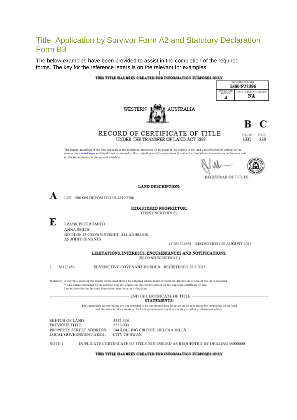## Title, Application by Survivor Form A2 and Statutory Declaration Form B3

The below examples have been provided to assist in the completion of the required forms. The key for the reference letters is on the relevant for examples.



NOTE 1: DUPLICATE CERTIFICATE OF TITLE NOT ISSUED AS REQUESTED BY DEALING M00000

#### THIS TITLE HAS BEEN CREATED FOR INFORMATION FURFOSES ONLY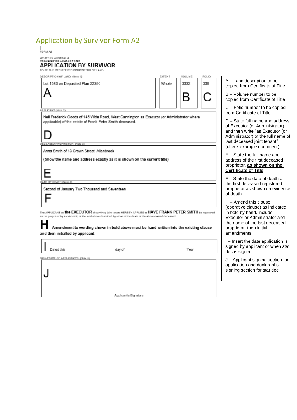## Application by Survivor Form A2

WESTERN AUSTRALIA<br>TRANSFER OF LAND ACT 1893

#### **APPLICATION BY SURVIVOR**

TO BE THE REGISTERED PROPRIETOR OF LAND

| DESCRIPTION OF LAND (Note 1)                                                                                                                           |                                                                                                                                                                                                                                                                                                                               | EXTENT                                                                                                                                     | VOLUME | FOLID |                                                                                                                                      |
|--------------------------------------------------------------------------------------------------------------------------------------------------------|-------------------------------------------------------------------------------------------------------------------------------------------------------------------------------------------------------------------------------------------------------------------------------------------------------------------------------|--------------------------------------------------------------------------------------------------------------------------------------------|--------|-------|--------------------------------------------------------------------------------------------------------------------------------------|
| Lot 1580 on Deposited Plan 22396                                                                                                                       |                                                                                                                                                                                                                                                                                                                               | Whole                                                                                                                                      | 3332   | 339   | A – Land description to be<br>copied from Certificate of Title                                                                       |
|                                                                                                                                                        |                                                                                                                                                                                                                                                                                                                               |                                                                                                                                            | B      |       | B - Volume number to be<br>copied from Certificate of Title                                                                          |
| <b>APPLICANT (Note 2)</b>                                                                                                                              |                                                                                                                                                                                                                                                                                                                               |                                                                                                                                            |        |       | C - Folio number to be copied<br>from Certificate of Title                                                                           |
| Neil Frederick Goods of 145 Wide Road, West Cannington as Executor (or Administrator where<br>applicable) of the estate of Frank Peter Smith deceased. |                                                                                                                                                                                                                                                                                                                               | D – State full name and address<br>of Executor (or Administrator)<br>and then write "as Executor (or<br>Administrator) of the full name of |        |       |                                                                                                                                      |
| PROPRIETOR (Note                                                                                                                                       |                                                                                                                                                                                                                                                                                                                               |                                                                                                                                            |        |       | last deceased joint tenant"<br>(check example document)                                                                              |
| Anna Smith of 13 Crown Street, Allanbrook                                                                                                              |                                                                                                                                                                                                                                                                                                                               |                                                                                                                                            |        |       | $E -$ State the full name and                                                                                                        |
|                                                                                                                                                        | (Show the name and address exactly as it is shown on the current title)                                                                                                                                                                                                                                                       |                                                                                                                                            |        |       | address of the first deceased<br>proprietor, as shown on the<br><b>Certificate of Title</b>                                          |
| TE OF DEATH (Note 4)                                                                                                                                   |                                                                                                                                                                                                                                                                                                                               |                                                                                                                                            |        |       | F - State the date of death of                                                                                                       |
| Second of January Two Thousand and Seventeen                                                                                                           |                                                                                                                                                                                                                                                                                                                               |                                                                                                                                            |        |       | the first deceased registered<br>proprietor as shown on evidence<br>of death                                                         |
|                                                                                                                                                        |                                                                                                                                                                                                                                                                                                                               |                                                                                                                                            |        |       | $H -$ Amend this clause<br>(operative clause) as indicated                                                                           |
| and then initialled by applicant                                                                                                                       | The APPLICANT an the EXECUTOR of surviving joint tonant HEREBY APPLIES to HAVE FRANK PETER SMITH be registered<br>as the proprietor by survivorship of the land above described by virtue of the death of the above-named deceased.<br>Amendment to wording shown in bold above must be hand written into the existing clause |                                                                                                                                            |        |       | in bold by hand, include<br>Executor or Administrator and<br>the name of the last deceased<br>proprietor, then initial<br>amendments |
| Dated this                                                                                                                                             | day of                                                                                                                                                                                                                                                                                                                        |                                                                                                                                            | Year   |       | I – Insert the date application is<br>signed by applicant or when stat<br>dec is signed                                              |
| SIGNATURE OF APPLICANT/S (Note 5)                                                                                                                      |                                                                                                                                                                                                                                                                                                                               |                                                                                                                                            |        |       | J – Applicant signing section for<br>application and declarant's<br>signing section for stat dec                                     |
|                                                                                                                                                        |                                                                                                                                                                                                                                                                                                                               |                                                                                                                                            |        |       |                                                                                                                                      |

Applicant/s Signature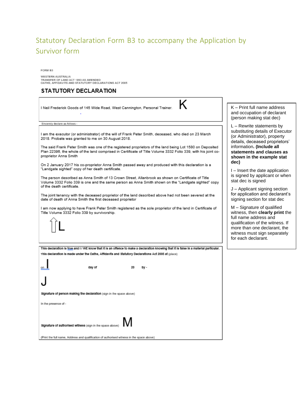## Statutory Declaration Form B3 to accompany the Application by Survivor form

FORM B3

WESTERN AUSTRALIA<br>TRANSFER OF LAND ACT 1893 AS AMENDED<br>OATHS, AFFIDAVITS AND STATUTORY DECLARATIONS ACT 2005

#### STATUTORY DECLARATION

| I Neil Frederick Goods of 145 Wide Road, West Cannington, Personal Trainer.                                                                                                                                                                                                                                                                                                                                       | K - Print full name address<br>and occupation of declarant<br>(person making stat dec)                                                                                                            |
|-------------------------------------------------------------------------------------------------------------------------------------------------------------------------------------------------------------------------------------------------------------------------------------------------------------------------------------------------------------------------------------------------------------------|---------------------------------------------------------------------------------------------------------------------------------------------------------------------------------------------------|
| Sincerely declare as follows -                                                                                                                                                                                                                                                                                                                                                                                    | $L$ – Rewrite statements by                                                                                                                                                                       |
| I am the executor (or administrator) of the will of Frank Peter Smith, deceased, who died on 23 March<br>2018. Probate was granted to me on 30 August 2018.<br>The said Frank Peter Smith was one of the registered proprietors of the land being Lot 1580 on Deposited<br>Plan 22396, the whole of the land comprised in Certificate of Title Volume 3332 Folio 339, with his joint co-<br>proprietor Anna Smith | substituting details of Executor<br>(or Administrator), property<br>details, deceased proprietors'<br>information. (Include all<br>statements and clauses as<br>shown in the example stat<br>dec) |
| On 2 January 2017 his co-proprietor Anna Smith passed away and produced with this declaration is a<br>"Landgate sighted" copy of her death certificate.                                                                                                                                                                                                                                                           | I – Insert the date application<br>is signed by applicant or when<br>stat dec is signed                                                                                                           |
| The person described as Anna Smith of 13 Crown Street. Allanbrook as shown on Certificate of Title<br>Volume 3332 Folio 339 is one and the same person as Anna Smith shown on the "Landgate sighted" copy<br>of the death certificate.                                                                                                                                                                            |                                                                                                                                                                                                   |
| The joint tenancy with the deceased proprietor of the land described above had not been severed at the<br>date of death of Anna Smith the first deceased proprietor                                                                                                                                                                                                                                               | $J -$ Applicant signing section<br>for application and declarant's<br>signing section for stat dec                                                                                                |
| I am now applying to have Frank Peter Smith registered as the sole proprietor of the land in Certificate of<br>Title Volume 3332 Folio 339 by survivorship.                                                                                                                                                                                                                                                       | M – Signature of qualified<br>witness, then <b>clearly print</b> the<br>full name address and                                                                                                     |
|                                                                                                                                                                                                                                                                                                                                                                                                                   | qualification of the witness. If<br>more than one declarant, the<br>witness must sign separately<br>for each declarant.                                                                           |
| This declaration is true and I / WE know that it is an offence to make a declaration knowing that it is false in a material particular.                                                                                                                                                                                                                                                                           |                                                                                                                                                                                                   |
| This declaration is made under the Oaths, Affidavits and Statutory Declarations Act 2005 at (place)                                                                                                                                                                                                                                                                                                               |                                                                                                                                                                                                   |
| day of<br>20<br>by -                                                                                                                                                                                                                                                                                                                                                                                              |                                                                                                                                                                                                   |
|                                                                                                                                                                                                                                                                                                                                                                                                                   |                                                                                                                                                                                                   |
| Signature of person making the declaration (sign in the space above)                                                                                                                                                                                                                                                                                                                                              |                                                                                                                                                                                                   |
| In the presence of -                                                                                                                                                                                                                                                                                                                                                                                              |                                                                                                                                                                                                   |
| Signature of authorised witness (sign in the space above)                                                                                                                                                                                                                                                                                                                                                         |                                                                                                                                                                                                   |
| (Print the full name, Address and qualification of authorised witness in the space above)                                                                                                                                                                                                                                                                                                                         |                                                                                                                                                                                                   |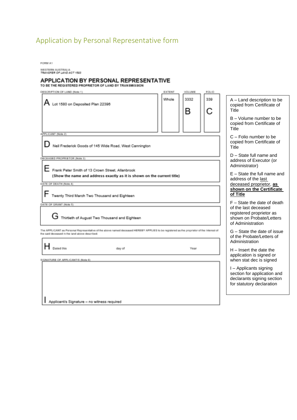## Application by Personal Representative form

FORM A1

WESTERN AUSTRALIA<br>TRANSFER OF LAND ACT 1893

## APPLICATION BY PERSONAL REPRESENTATIVE<br>TO BE THE REGISTERED PROPRIETOR OF LAND BY TRANSMISSION

| DESCRIPTION OF LAND (Note 1)                                                                                                                                                              | EXTENT                                               | VOLUME    | FOLIO |                                                                                                                  |
|-------------------------------------------------------------------------------------------------------------------------------------------------------------------------------------------|------------------------------------------------------|-----------|-------|------------------------------------------------------------------------------------------------------------------|
| $A$ Lot 1580 on Deposited Plan 22396                                                                                                                                                      | Whole                                                | 3332<br>в | 339   | A - Land description to be<br>copied from Certificate of<br>Title                                                |
|                                                                                                                                                                                           |                                                      |           |       | $B - Volume$ number to be<br>copied from Certificate of<br>Title                                                 |
| APPLICANT (Note 2)<br>Neil Frederick Goods of 145 Wide Road, West Cannington                                                                                                              |                                                      |           |       | C - Folio number to be<br>copied from Certificate of<br>Title                                                    |
| DECEASED PROPRIETOR (Note 3)                                                                                                                                                              |                                                      |           |       | $D - State$ full name and<br>address of Executor (or<br>Administrator)                                           |
| Frank Peter Smith of 13 Crown Street, Allanbrook<br>(Show the name and address exactly as it is shown on the current title)                                                               | $E -$ State the full name and<br>address of the last |           |       |                                                                                                                  |
| DATE OF DEATH (Note 4)<br>Twenty Third March Two Thousand and Eighteen                                                                                                                    |                                                      |           |       | deceased proprietor, as<br>shown on the Certificate<br>of Title                                                  |
| DATE OF GRANT (Note 5)                                                                                                                                                                    |                                                      |           |       | $F - State$ the date of death                                                                                    |
| Thirtieth of August Two Thousand and Eighteen                                                                                                                                             |                                                      |           |       | of the last deceased<br>registered proprietor as<br>shown on Probate/Letters<br>of Administration                |
| he APPLICANT as Personal Representative of the above named deceased HEREBY APPLIES to be registered as the proprietor of the interest of<br>he said deceased in the land above described. |                                                      |           |       | G – State the date of issue<br>of the Probate/Letters of<br>Administration                                       |
| Dated this<br>day of<br>SONATURE OF APPLICANT/S (Note 6)                                                                                                                                  |                                                      | Year      |       | $H$ – Insert the date the<br>application is signed or<br>when stat dec is signed                                 |
|                                                                                                                                                                                           |                                                      |           |       | I - Applicants signing<br>section for application and<br>declarants signing section<br>for statutory declaration |
| Applicant/s Signature - no witness required                                                                                                                                               |                                                      |           |       |                                                                                                                  |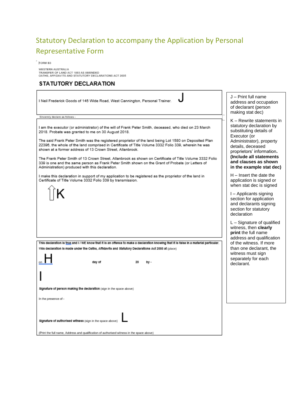## Statutory Declaration to accompany the Application by Personal Representative Form

 $FORMB3$ 

 $\Gamma$ 

WESTERN AUSTRALIA<br>TRANSFER OF LAND ACT 1893 AS AMENDED<br>OATHS, AFFIDAVITS AND STATUTORY DECLARATIONS ACT 2005

#### STATUTORY DECLARATION

| I Neil Frederick Goods of 145 Wide Road, West Cannington, Personal Trainer.                                                                                                                                                                                                                                                                                                                                                                                                                                                                          | J - Print full name<br>address and occupation<br>of declarant (person<br>making stat dec)                                                                                                                 |
|------------------------------------------------------------------------------------------------------------------------------------------------------------------------------------------------------------------------------------------------------------------------------------------------------------------------------------------------------------------------------------------------------------------------------------------------------------------------------------------------------------------------------------------------------|-----------------------------------------------------------------------------------------------------------------------------------------------------------------------------------------------------------|
| Sincerely declare as follows -                                                                                                                                                                                                                                                                                                                                                                                                                                                                                                                       |                                                                                                                                                                                                           |
| I am the executor (or administrator) of the will of Frank Peter Smith, deceased, who died on 23 March<br>2018. Probate was granted to me on 30 August 2018.<br>The said Frank Peter Smith was the registered proprietor of the land being Lot 1580 on Deposited Plan<br>22396, the whole of the land comprised in Certificate of Title Volume 3332 Folio 339, wherein he was<br>shown at a former address of 13 Crown Street, Allanbrook.<br>The Frank Peter Smith of 13 Crown Street. Allanbrook as shown on Certificate of Title Volume 3332 Folio | K - Rewrite statements in<br>statutory declaration by<br>substituting details of<br>Executor (or<br>Administrator), property<br>details, deceased<br>proprietors' information.<br>(Include all statements |
| 339 is one and the same person as Frank Peter Smith shown on the Grant of Probate (or Letters of                                                                                                                                                                                                                                                                                                                                                                                                                                                     | and clauses as shown                                                                                                                                                                                      |
| Administration) produced with this declaration.                                                                                                                                                                                                                                                                                                                                                                                                                                                                                                      | in the example stat dec)                                                                                                                                                                                  |
| I make this declaration in support of my application to be registered as the proprietor of the land in<br>Certificate of Title Volume 3332 Folio 339 by transmission.                                                                                                                                                                                                                                                                                                                                                                                | $H$ – Insert the date the<br>application is signed or<br>when stat dec is signed                                                                                                                          |
|                                                                                                                                                                                                                                                                                                                                                                                                                                                                                                                                                      | I – Applicants signing<br>section for application<br>and declarants signing<br>section for statutory<br>declaration                                                                                       |
|                                                                                                                                                                                                                                                                                                                                                                                                                                                                                                                                                      | $L -$ Signature of qualified<br>witness, then clearly<br>print the full name<br>address and qualification                                                                                                 |
| This declaration is frue and I / WE know that it is an offence to make a declaration knowing that it is false in a material particular.                                                                                                                                                                                                                                                                                                                                                                                                              | of the witness. If more                                                                                                                                                                                   |
| This declaration is made under the Oaths, Affidavits and Statutory Declarations Act 2005 at (place)<br>day of<br>20<br>by -                                                                                                                                                                                                                                                                                                                                                                                                                          | than one declarant, the<br>witness must sign<br>separately for each<br>declarant.                                                                                                                         |
|                                                                                                                                                                                                                                                                                                                                                                                                                                                                                                                                                      |                                                                                                                                                                                                           |
| Signature of person making the declaration (sign in the space above)                                                                                                                                                                                                                                                                                                                                                                                                                                                                                 |                                                                                                                                                                                                           |
| In the presence of -                                                                                                                                                                                                                                                                                                                                                                                                                                                                                                                                 |                                                                                                                                                                                                           |
| Signature of authorised witness (sign in the space above)                                                                                                                                                                                                                                                                                                                                                                                                                                                                                            |                                                                                                                                                                                                           |
| (Print the full name, Address and qualification of authorised witness in the space above)                                                                                                                                                                                                                                                                                                                                                                                                                                                            |                                                                                                                                                                                                           |